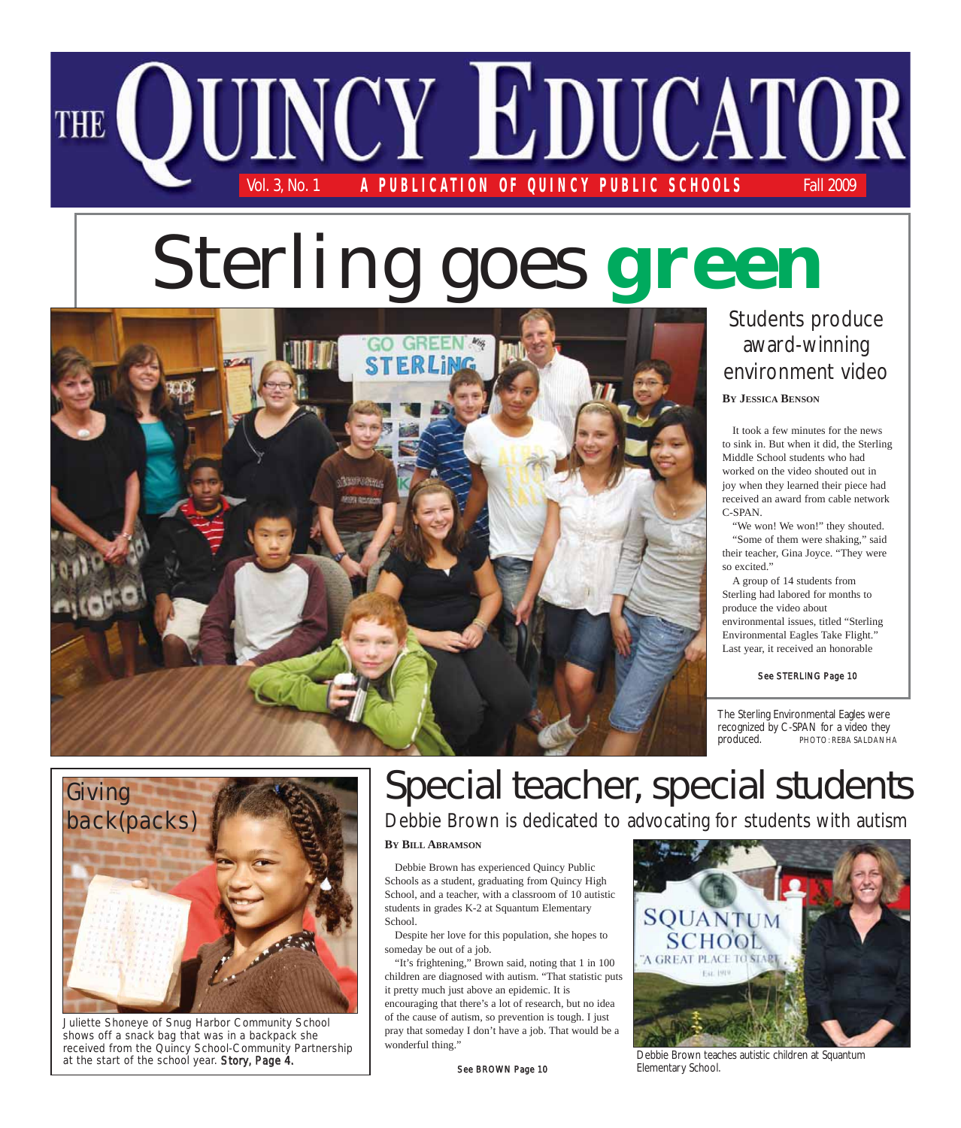

# Sterling goes **green**



#### **BY JESSICA BENSON** Students produce award-winning environment video

It took a few minutes for the news to sink in. But when it did, the Sterling Middle School students who had worked on the video shouted out in joy when they learned their piece had received an award from cable network C-SPAN.

"We won! We won!" they shouted. "Some of them were shaking," said their teacher, Gina Joyce. "They were so excited."

A group of 14 students from Sterling had labored for months to produce the video about environmental issues, titled "Sterling Environmental Eagles Take Flight." Last year, it received an honorable

See STERLING Page 10

The Sterling Environmental Eagles were recognized by C-SPAN for a video they produced. PHOTO: REBA SALDANHA



Juliette Shoneye of Snug Harbor Community School shows off a snack bag that was in a backpack she received from the Quincy School-Community Partnership at the start of the school year. Story, Page 4.

# Special teacher, special students

Debbie Brown is dedicated to advocating for students with autism

**BY BILL ABRAMSON**

Debbie Brown has experienced Quincy Public Schools as a student, graduating from Quincy High School, and a teacher, with a classroom of 10 autistic students in grades K-2 at Squantum Elementary School.

Despite her love for this population, she hopes to someday be out of a job.

"It's frightening," Brown said, noting that 1 in 100 children are diagnosed with autism. "That statistic puts it pretty much just above an epidemic. It is encouraging that there's a lot of research, but no idea of the cause of autism, so prevention is tough. I just pray that someday I don't have a job. That would be a wonderful thing."



Debbie Brown teaches autistic children at Squantum

See BROWN Page 10 Elementary School.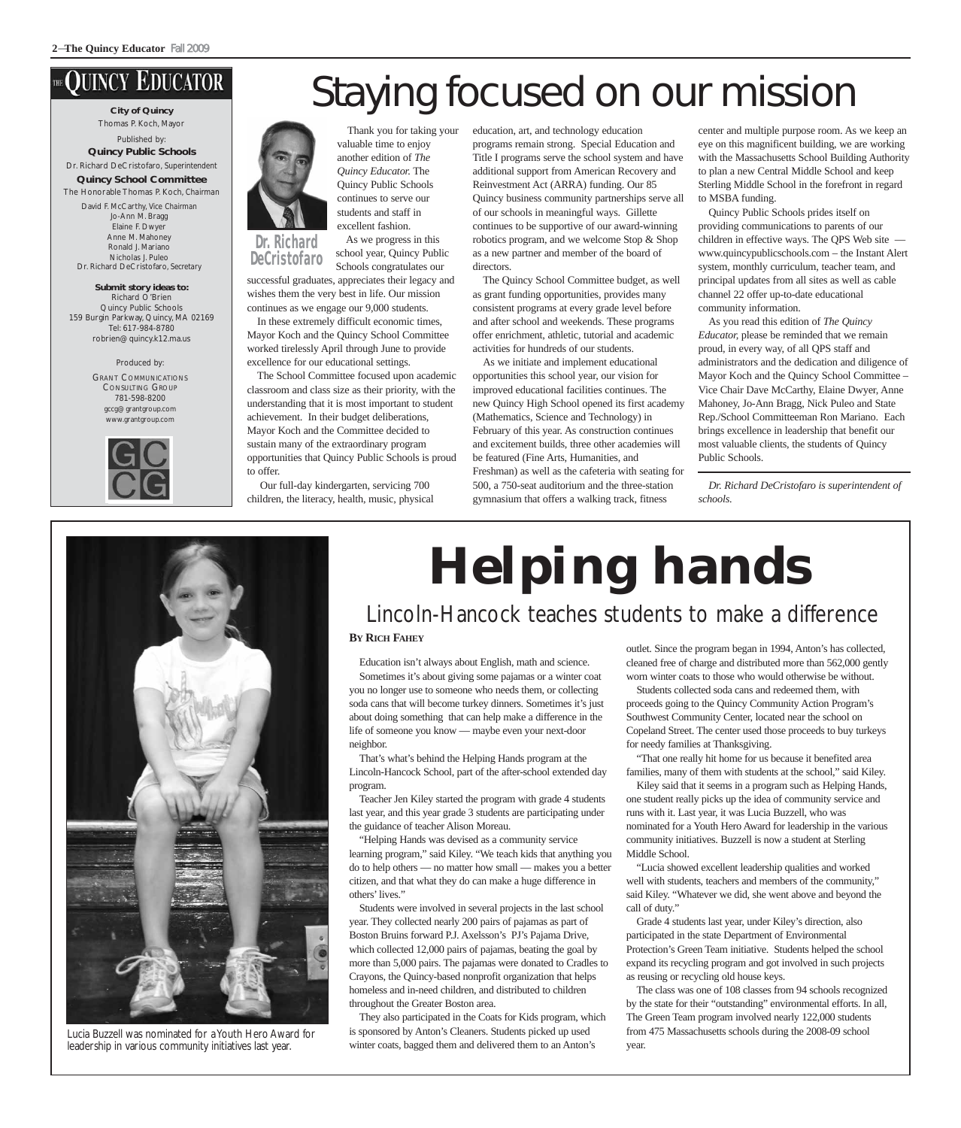### **JUINCY EDUCATOR**

**City of Quincy** Thomas P. Koch, Mayor Published by: **Quincy Public Schools**

Dr. Richard DeCristofaro, *Superintendent* **Quincy School Committee** The Honorable Thomas P. Koch, *Chairman* David F. McCarthy, *Vice Chairman* Jo-Ann M. Bragg Elaine F. Dwyer Anne M. Mahoney Ronald J. Mariano Nicholas J. Puleo Dr. Richard DeCristofaro, *Secretary*

**Submit story ideas to:** Richard O'Brien Quincy Public Schools 159 Burgin Parkway, Quincy, MA 02169 Tel: 617-984-8780 robrien@quincy.k12.ma.us

> Produced by: GRANT COMMUNICATIONS CONSULTING GROUP 781-598-8200 gccg@grantgroup.com www.grantgroup.com





Thank you for taking your valuable time to enjoy another edition of *The Quincy Educator.* The Quincy Public Schools continues to serve our students and staff in excellent fashion.

As we progress in this school year, Quincy Public Schools congratulates our **DeCristofaro**

successful graduates, appreciates their legacy and wishes them the very best in life. Our mission continues as we engage our 9,000 students.

In these extremely difficult economic times, Mayor Koch and the Quincy School Committee worked tirelessly April through June to provide excellence for our educational settings.

The School Committee focused upon academic classroom and class size as their priority, with the understanding that it is most important to student achievement. In their budget deliberations, Mayor Koch and the Committee decided to sustain many of the extraordinary program opportunities that Quincy Public Schools is proud to offer.

Our full-day kindergarten, servicing 700 children, the literacy, health, music, physical education, art, and technology education programs remain strong. Special Education and Title I programs serve the school system and have additional support from American Recovery and Reinvestment Act (ARRA) funding. Our 85 Quincy business community partnerships serve all of our schools in meaningful ways. Gillette continues to be supportive of our award-winning robotics program, and we welcome Stop & Shop as a new partner and member of the board of directors.

The Quincy School Committee budget, as well as grant funding opportunities, provides many consistent programs at every grade level before and after school and weekends. These programs offer enrichment, athletic, tutorial and academic activities for hundreds of our students.

As we initiate and implement educational opportunities this school year, our vision for improved educational facilities continues. The new Quincy High School opened its first academy (Mathematics, Science and Technology) in February of this year. As construction continues and excitement builds, three other academies will be featured (Fine Arts, Humanities, and Freshman) as well as the cafeteria with seating for 500, a 750-seat auditorium and the three-station gymnasium that offers a walking track, fitness

center and multiple purpose room. As we keep an eye on this magnificent building, we are working with the Massachusetts School Building Authority to plan a new Central Middle School and keep Sterling Middle School in the forefront in regard to MSBA funding.

Quincy Public Schools prides itself on providing communications to parents of our children in effective ways. The QPS Web site www.quincypublicschools.com – the Instant Alert system, monthly curriculum, teacher team, and principal updates from all sites as well as cable channel 22 offer up-to-date educational community information.

As you read this edition of *The Quincy Educator,* please be reminded that we remain proud, in every way, of all QPS staff and administrators and the dedication and diligence of Mayor Koch and the Quincy School Committee – Vice Chair Dave McCarthy, Elaine Dwyer, Anne Mahoney, Jo-Ann Bragg, Nick Puleo and State Rep./School Committeeman Ron Mariano. Each brings excellence in leadership that benefit our most valuable clients, the students of Quincy Public Schools.

*Dr. Richard DeCristofaro is superintendent of schools.*



Lucia Buzzell was nominated for a Youth Hero Award for leadership in various community initiatives last year.

# **Helping hands**

### Lincoln-Hancock teaches students to make a difference

#### **BY RICH FAHEY**

Education isn't always about English, math and science. Sometimes it's about giving some pajamas or a winter coat you no longer use to someone who needs them, or collecting soda cans that will become turkey dinners. Sometimes it's just about doing something that can help make a difference in the life of someone you know — maybe even your next-door neighbor.

That's what's behind the Helping Hands program at the Lincoln-Hancock School, part of the after-school extended day program.

Teacher Jen Kiley started the program with grade 4 students last year, and this year grade 3 students are participating under the guidance of teacher Alison Moreau.

"Helping Hands was devised as a community service learning program," said Kiley. "We teach kids that anything you do to help others — no matter how small — makes you a better citizen, and that what they do can make a huge difference in others' lives."

Students were involved in several projects in the last school year. They collected nearly 200 pairs of pajamas as part of Boston Bruins forward P.J. Axelsson's PJ's Pajama Drive, which collected 12,000 pairs of pajamas, beating the goal by more than 5,000 pairs. The pajamas were donated to Cradles to Crayons, the Quincy-based nonprofit organization that helps homeless and in-need children, and distributed to children throughout the Greater Boston area.

They also participated in the Coats for Kids program, which is sponsored by Anton's Cleaners. Students picked up used winter coats, bagged them and delivered them to an Anton's

outlet. Since the program began in 1994, Anton's has collected, cleaned free of charge and distributed more than 562,000 gently worn winter coats to those who would otherwise be without.

Students collected soda cans and redeemed them, with proceeds going to the Quincy Community Action Program's Southwest Community Center, located near the school on Copeland Street. The center used those proceeds to buy turkeys for needy families at Thanksgiving.

"That one really hit home for us because it benefited area families, many of them with students at the school," said Kiley.

Kiley said that it seems in a program such as Helping Hands, one student really picks up the idea of community service and runs with it. Last year, it was Lucia Buzzell, who was nominated for a Youth Hero Award for leadership in the various community initiatives. Buzzell is now a student at Sterling Middle School.

"Lucia showed excellent leadership qualities and worked well with students, teachers and members of the community," said Kiley. "Whatever we did, she went above and beyond the call of duty."

Grade 4 students last year, under Kiley's direction, also participated in the state Department of Environmental Protection's Green Team initiative. Students helped the school expand its recycling program and got involved in such projects as reusing or recycling old house keys.

The class was one of 108 classes from 94 schools recognized by the state for their "outstanding" environmental efforts. In all, The Green Team program involved nearly 122,000 students from 475 Massachusetts schools during the 2008-09 school year.

# Staying focused on our mission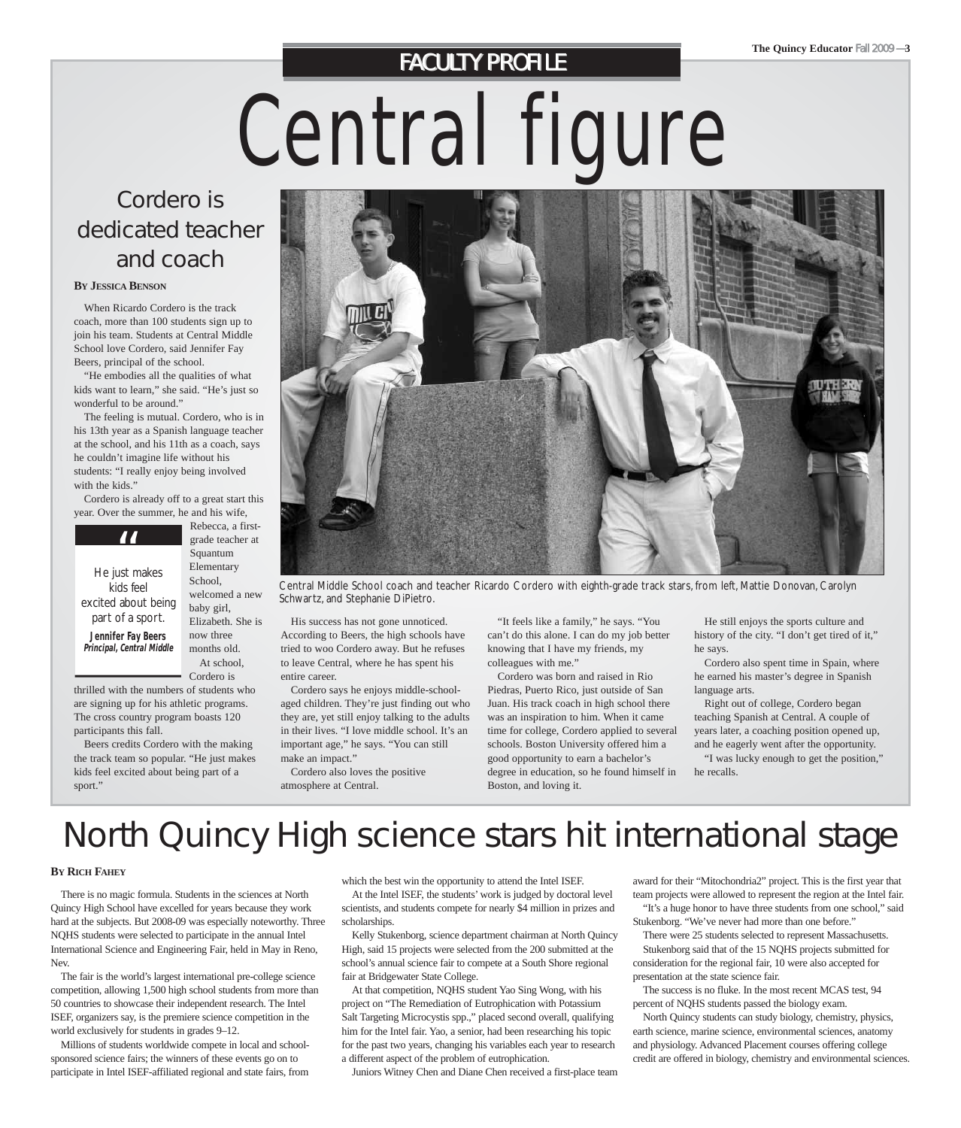### **FACULTY PROFILE**

Central figure

### Cordero is dedicated teacher and coach

#### **BY JESSICA BENSON**

When Ricardo Cordero is the track coach, more than 100 students sign up to join his team. Students at Central Middle School love Cordero, said Jennifer Fay Beers, principal of the school.

"He embodies all the qualities of what kids want to learn," she said. "He's just so wonderful to be around."

The feeling is mutual. Cordero, who is in his 13th year as a Spanish language teacher at the school, and his 11th as a coach, says he couldn't imagine life without his students: "I really enjoy being involved with the kids."

Cordero is already off to a great start this year. Over the summer, he and his wife,

**TT**<br>He just makes kids feel excited about being part of a sport. **Jennifer Fay Beers Principal, Central Middle**

Rebecca, a firstgrade teacher at Squantum Elementary School, welcomed a new baby girl, Elizabeth. She is now three months old. At school,

Cordero is

thrilled with the numbers of students who are signing up for his athletic programs. The cross country program boasts 120 participants this fall.

Beers credits Cordero with the making the track team so popular. "He just makes kids feel excited about being part of a sport."



Central Middle School coach and teacher Ricardo Cordero with eighth-grade track stars, from left, Mattie Donovan, Carolyn Schwartz, and Stephanie DiPietro.

His success has not gone unnoticed. According to Beers, the high schools have tried to woo Cordero away. But he refuses to leave Central, where he has spent his entire career.

Cordero says he enjoys middle-schoolaged children. They're just finding out who they are, yet still enjoy talking to the adults in their lives. "I love middle school. It's an important age," he says. "You can still make an impact."

Cordero also loves the positive atmosphere at Central.

"It feels like a family," he says. "You can't do this alone. I can do my job better knowing that I have my friends, my colleagues with me."

Cordero was born and raised in Rio Piedras, Puerto Rico, just outside of San Juan. His track coach in high school there was an inspiration to him. When it came time for college, Cordero applied to several schools. Boston University offered him a good opportunity to earn a bachelor's degree in education, so he found himself in Boston, and loving it.

He still enjoys the sports culture and history of the city. "I don't get tired of it," he says.

Cordero also spent time in Spain, where he earned his master's degree in Spanish language arts.

Right out of college, Cordero began teaching Spanish at Central. A couple of years later, a coaching position opened up, and he eagerly went after the opportunity.

"I was lucky enough to get the position," he recalls.

## North Quincy High science stars hit international stage

#### **BY RICH FAHEY**

There is no magic formula. Students in the sciences at North Quincy High School have excelled for years because they work hard at the subjects. But 2008-09 was especially noteworthy. Three NQHS students were selected to participate in the annual Intel International Science and Engineering Fair, held in May in Reno, Nev.

The fair is the world's largest international pre-college science competition, allowing 1,500 high school students from more than 50 countries to showcase their independent research. The Intel ISEF, organizers say, is the premiere science competition in the world exclusively for students in grades 9–12.

Millions of students worldwide compete in local and schoolsponsored science fairs; the winners of these events go on to participate in Intel ISEF-affiliated regional and state fairs, from which the best win the opportunity to attend the Intel ISEF.

At the Intel ISEF, the students' work is judged by doctoral level scientists, and students compete for nearly \$4 million in prizes and scholarships.

Kelly Stukenborg, science department chairman at North Quincy High, said 15 projects were selected from the 200 submitted at the school's annual science fair to compete at a South Shore regional fair at Bridgewater State College.

At that competition, NQHS student Yao Sing Wong, with his project on "The Remediation of Eutrophication with Potassium Salt Targeting Microcystis spp.," placed second overall, qualifying him for the Intel fair. Yao, a senior, had been researching his topic for the past two years, changing his variables each year to research a different aspect of the problem of eutrophication.

Juniors Witney Chen and Diane Chen received a first-place team

award for their "Mitochondria2" project. This is the first year that team projects were allowed to represent the region at the Intel fair. "It's a huge honor to have three students from one school," said

Stukenborg. "We've never had more than one before."

There were 25 students selected to represent Massachusetts. Stukenborg said that of the 15 NQHS projects submitted for consideration for the regional fair, 10 were also accepted for presentation at the state science fair.

The success is no fluke. In the most recent MCAS test, 94 percent of NQHS students passed the biology exam.

North Quincy students can study biology, chemistry, physics, earth science, marine science, environmental sciences, anatomy and physiology. Advanced Placement courses offering college credit are offered in biology, chemistry and environmental sciences.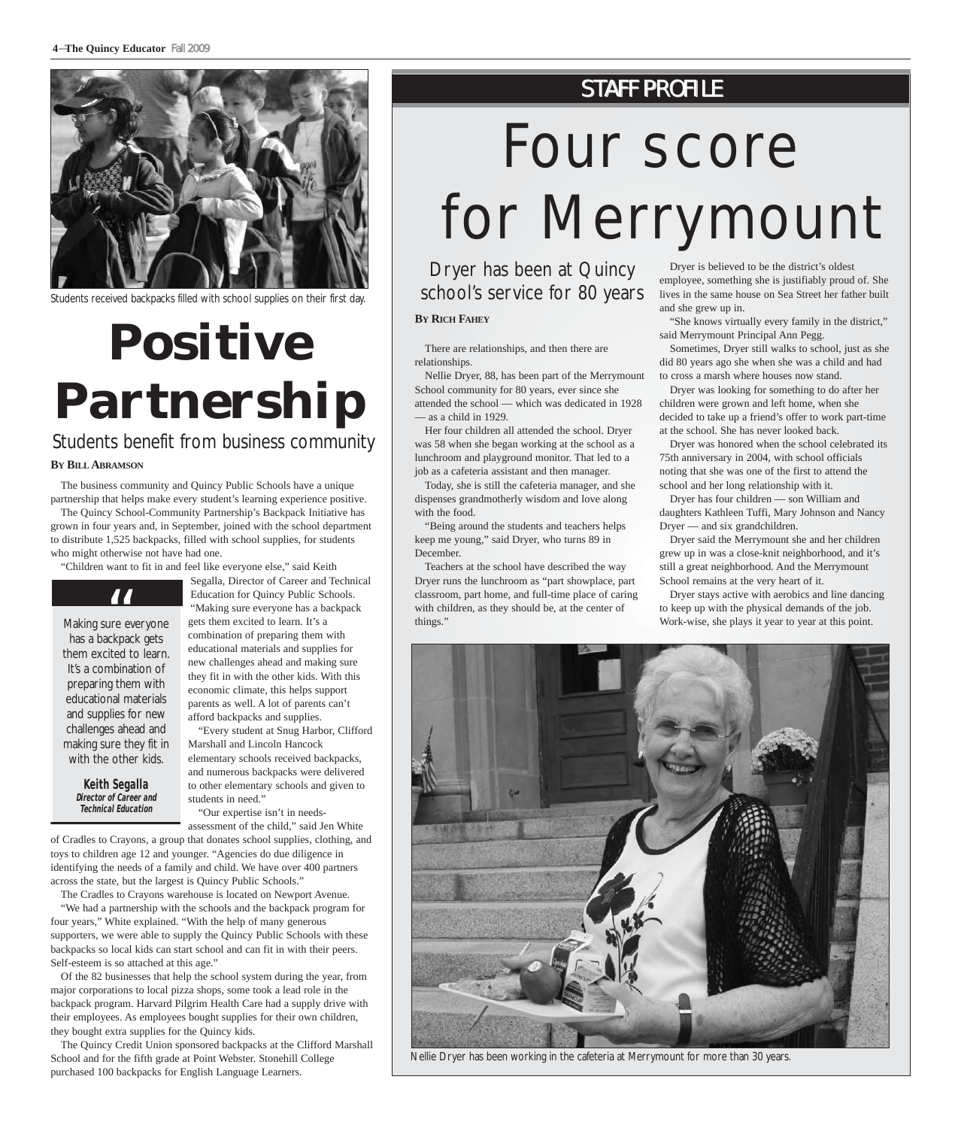

Students received backpacks filled with school supplies on their first day.

# **Positive Partnership**

#### Students benefit from business community

#### **BY BILLABRAMSON**

The business community and Quincy Public Schools have a unique partnership that helps make every student's learning experience positive.

The Quincy School-Community Partnership's Backpack Initiative has grown in four years and, in September, joined with the school department to distribute 1,525 backpacks, filled with school supplies, for students who might otherwise not have had one.

"Children want to fit in and feel like everyone else," said Keith



Making sure everyone has a backpack gets them excited to learn. It's a combination of preparing them with educational materials and supplies for new challenges ahead and making sure they fit in with the other kids. **TT**<br>ure e

> **Keith Segalla Director of Career and Technical Education**

Segalla, Director of Career and Technical Education for Quincy Public Schools. "Making sure everyone has a backpack gets them excited to learn. It's a combination of preparing them with educational materials and supplies for new challenges ahead and making sure they fit in with the other kids. With this economic climate, this helps support parents as well. A lot of parents can't afford backpacks and supplies.

"Every student at Snug Harbor, Clifford Marshall and Lincoln Hancock elementary schools received backpacks, and numerous backpacks were delivered to other elementary schools and given to students in need."

"Our expertise isn't in needs-

assessment of the child," said Jen White of Cradles to Crayons, a group that donates school supplies, clothing, and toys to children age 12 and younger. "Agencies do due diligence in identifying the needs of a family and child. We have over 400 partners across the state, but the largest is Quincy Public Schools."

The Cradles to Crayons warehouse is located on Newport Avenue. "We had a partnership with the schools and the backpack program for

four years," White explained. "With the help of many generous supporters, we were able to supply the Quincy Public Schools with these backpacks so local kids can start school and can fit in with their peers. Self-esteem is so attached at this age."

Of the 82 businesses that help the school system during the year, from major corporations to local pizza shops, some took a lead role in the backpack program. Harvard Pilgrim Health Care had a supply drive with their employees. As employees bought supplies for their own children, they bought extra supplies for the Quincy kids.

The Quincy Credit Union sponsored backpacks at the Clifford Marshall School and for the fifth grade at Point Webster. Stonehill College purchased 100 backpacks for English Language Learners.

### **STAFF PROFILE**

# Four score for Merrymount

Dryer has been at Quincy school's service for 80 years

#### **BY RICH FAHEY**

There are relationships, and then there are relationships.

Nellie Dryer, 88, has been part of the Merrymount School community for 80 years, ever since she attended the school — which was dedicated in 1928 — as a child in 1929.

Her four children all attended the school. Dryer was 58 when she began working at the school as a lunchroom and playground monitor. That led to a job as a cafeteria assistant and then manager.

Today, she is still the cafeteria manager, and she dispenses grandmotherly wisdom and love along with the food.

"Being around the students and teachers helps keep me young," said Dryer, who turns 89 in December.

Teachers at the school have described the way Dryer runs the lunchroom as "part showplace, part classroom, part home, and full-time place of caring with children, as they should be, at the center of things."

Dryer is believed to be the district's oldest employee, something she is justifiably proud of. She lives in the same house on Sea Street her father built and she grew up in.

"She knows virtually every family in the district," said Merrymount Principal Ann Pegg.

Sometimes, Dryer still walks to school, just as she did 80 years ago she when she was a child and had to cross a marsh where houses now stand.

Dryer was looking for something to do after her children were grown and left home, when she decided to take up a friend's offer to work part-time at the school. She has never looked back.

Dryer was honored when the school celebrated its 75th anniversary in 2004, with school officials noting that she was one of the first to attend the school and her long relationship with it.

Dryer has four children — son William and daughters Kathleen Tuffi, Mary Johnson and Nancy Dryer — and six grandchildren.

Dryer said the Merrymount she and her children grew up in was a close-knit neighborhood, and it's still a great neighborhood. And the Merrymount School remains at the very heart of it.

Dryer stays active with aerobics and line dancing to keep up with the physical demands of the job. Work-wise, she plays it year to year at this point.



Nellie Dryer has been working in the cafeteria at Merrymount for more than 30 years.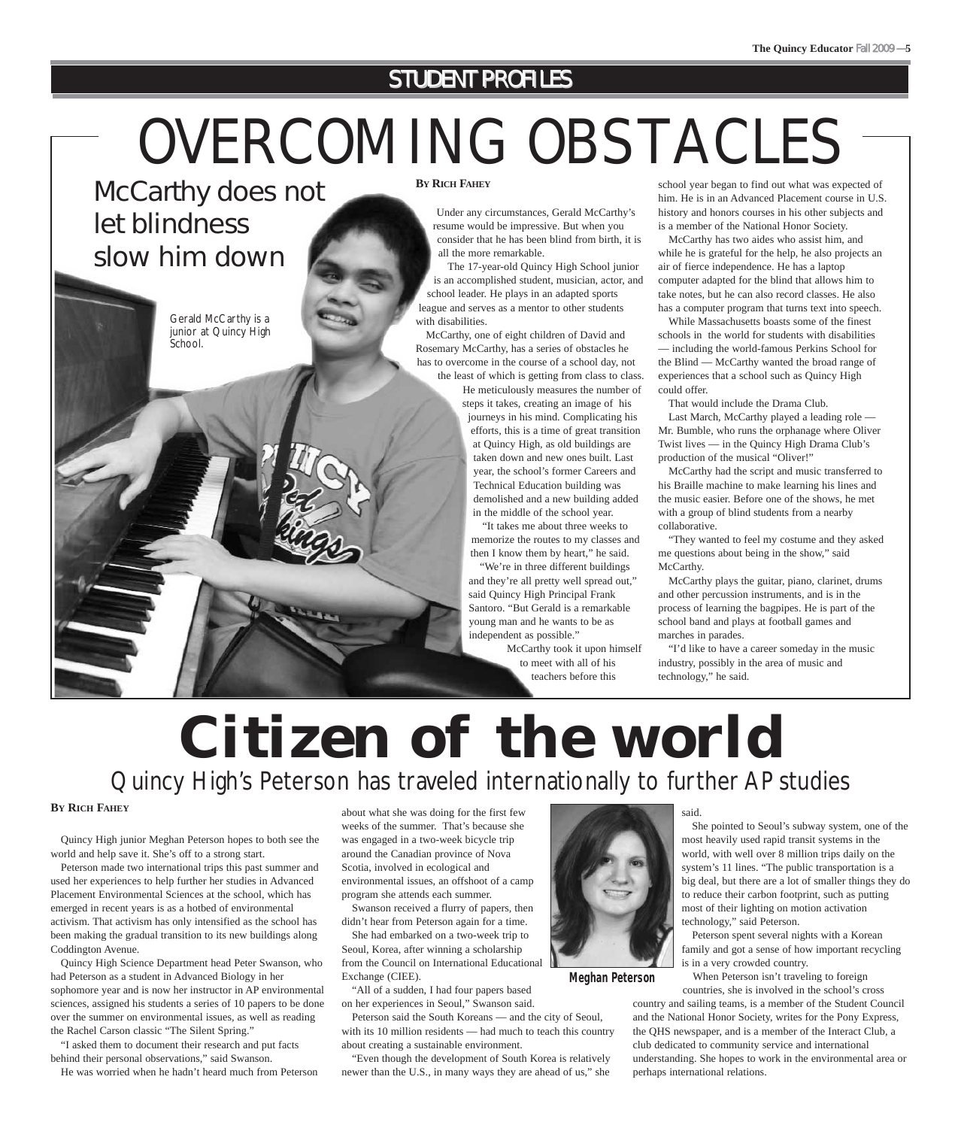### **STUDENT PROFILES**

# OVERCOMING OBSTACLES

McCarthy does not let blindness slow him down



Gerald McCarthy is a junior at Quincy High **BY RICH FAHEY**

Under any circumstances, Gerald McCarthy's resume would be impressive. But when you consider that he has been blind from birth, it is all the more remarkable.

The 17-year-old Quincy High School junior is an accomplished student, musician, actor, and school leader. He plays in an adapted sports league and serves as a mentor to other students with disabilities.

McCarthy, one of eight children of David and Rosemary McCarthy, has a series of obstacles he has to overcome in the course of a school day, not the least of which is getting from class to class.

He meticulously measures the number of steps it takes, creating an image of his journeys in his mind. Complicating his efforts, this is a time of great transition at Quincy High, as old buildings are taken down and new ones built. Last year, the school's former Careers and Technical Education building was demolished and a new building added in the middle of the school year.

"It takes me about three weeks to memorize the routes to my classes and then I know them by heart," he said.

"We're in three different buildings and they're all pretty well spread out," said Quincy High Principal Frank Santoro. "But Gerald is a remarkable young man and he wants to be as independent as possible."

McCarthy took it upon himself to meet with all of his teachers before this

school year began to find out what was expected of him. He is in an Advanced Placement course in U.S. history and honors courses in his other subjects and is a member of the National Honor Society.

McCarthy has two aides who assist him, and while he is grateful for the help, he also projects an air of fierce independence. He has a laptop computer adapted for the blind that allows him to take notes, but he can also record classes. He also has a computer program that turns text into speech.

While Massachusetts boasts some of the finest schools in the world for students with disabilities — including the world-famous Perkins School for the Blind — McCarthy wanted the broad range of experiences that a school such as Quincy High could offer.

That would include the Drama Club.

Last March, McCarthy played a leading role — Mr. Bumble, who runs the orphanage where Oliver Twist lives — in the Quincy High Drama Club's production of the musical "Oliver!"

McCarthy had the script and music transferred to his Braille machine to make learning his lines and the music easier. Before one of the shows, he met with a group of blind students from a nearby collaborative.

"They wanted to feel my costume and they asked me questions about being in the show," said McCarthy.

McCarthy plays the guitar, piano, clarinet, drums and other percussion instruments, and is in the process of learning the bagpipes. He is part of the school band and plays at football games and marches in parades.

"I'd like to have a career someday in the music industry, possibly in the area of music and technology," he said.

# **Citizen of the world** Quincy High's Peterson has traveled internationally to further AP studies

#### **BY RICH FAHEY**

Quincy High junior Meghan Peterson hopes to both see the world and help save it. She's off to a strong start.

Peterson made two international trips this past summer and used her experiences to help further her studies in Advanced Placement Environmental Sciences at the school, which has emerged in recent years is as a hotbed of environmental activism. That activism has only intensified as the school has been making the gradual transition to its new buildings along Coddington Avenue.

Quincy High Science Department head Peter Swanson, who had Peterson as a student in Advanced Biology in her sophomore year and is now her instructor in AP environmental sciences, assigned his students a series of 10 papers to be done over the summer on environmental issues, as well as reading the Rachel Carson classic "The Silent Spring."

"I asked them to document their research and put facts behind their personal observations," said Swanson.

He was worried when he hadn't heard much from Peterson

about what she was doing for the first few weeks of the summer. That's because she was engaged in a two-week bicycle trip around the Canadian province of Nova Scotia, involved in ecological and environmental issues, an offshoot of a camp program she attends each summer.

Swanson received a flurry of papers, then didn't hear from Peterson again for a time.

She had embarked on a two-week trip to Seoul, Korea, after winning a scholarship from the Council on International Educational Exchange (CIEE).

"All of a sudden, I had four papers based on her experiences in Seoul," Swanson said.

Peterson said the South Koreans — and the city of Seoul, with its 10 million residents — had much to teach this country about creating a sustainable environment.

"Even though the development of South Korea is relatively newer than the U.S., in many ways they are ahead of us," she



**Meghan Peterson**

said.

She pointed to Seoul's subway system, one of the most heavily used rapid transit systems in the world, with well over 8 million trips daily on the system's 11 lines. "The public transportation is a big deal, but there are a lot of smaller things they do to reduce their carbon footprint, such as putting most of their lighting on motion activation technology," said Peterson.

Peterson spent several nights with a Korean family and got a sense of how important recycling is in a very crowded country.

When Peterson isn't traveling to foreign countries, she is involved in the school's cross

country and sailing teams, is a member of the Student Council and the National Honor Society, writes for the Pony Express, the QHS newspaper, and is a member of the Interact Club, a club dedicated to community service and international understanding. She hopes to work in the environmental area or perhaps international relations.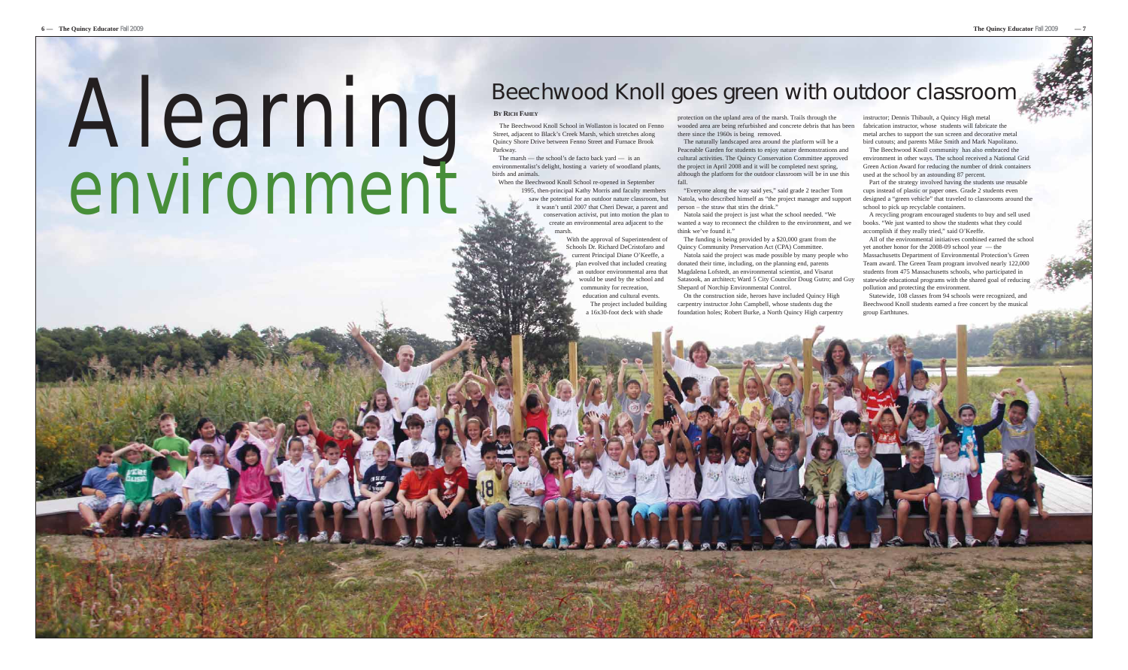# **Beechwood Knoll goes green with outdoor classroom (New York:** New York: New York: New York: New York: New York: New York: New York: New York: New York: New York: New York: New York: New York: New York: New York: New York environment

#### **BY RICH FAHEY**

The marsh — the school's de facto back yard — is an environmentalist's delight, hosting a variety of woodland plants, birds and animals

The Beechwood Knoll School in Wollaston is located on Fenno Street, adjacent to Black's Creek Marsh, which stretches along Quincy Shore Drive between Fenno Street and Furnace Brook Parkway.

> With the approval of Superintendent of plan evolved that included creating an outdoor environmental area that would be used by the school and education and cultural events. The project included building

Schools Dr. Richard DeCristofaro and current Principal Diane O'Keeffe, a community for recreation, a 16x30-foot deck with shade

When the Beechwood Knoll School re-opened in September 1995, then-principal Kathy Morris and faculty members saw the potential for an outdoor nature classroom, but it wasn't until 2007 that Cheri Dewar, a parent and conservation activist, put into motion the plan to create an environmental area adjacent to the marsh. fall. "Everyone along the way said yes," said grade 2 teacher Tom Natola, who described himself as "the project manager and support person – the straw that stirs the drink." Natola said the project is just what the school needed. "We wanted a way to reconnect the children to the environment, and we think we've found it."

protection on the upland area of the marsh. Trails through the wooded area are being refurbished and concrete debris that has been fabrication instructor, whose students will fabricate the there since the 1960s is being removed.

The naturally landscaped area around the platform will be a Peaceable Garden for students to enjoy nature demonstrations and cultural activities. The Quincy Conservation Committee approved the project in April 2008 and it will be completed next spring, although the platform for the outdoor classroom will be in use this

The funding is being provided by a \$20,000 grant from the Quincy Community Preservation Act (CPA) Committee.

Natola said the project was made possible by many people who donated their time, including, on the planning end, parents Magdalena Lofstedt, an environmental scientist, and Visarut Satasook, an architect; Ward 5 City Councilor Doug Gutro; and Guy statewide educational programs with the shared goal of reducing Shepard of Norchip Environmental Control.

On the construction side, heroes have included Quincy High carpentry instructor John Campbell, whose students dug the foundation holes; Robert Burke, a North Quincy High carpentry

instructor; Dennis Thibault, a Quincy High metal metal arches to support the sun screen and decorative metal bird cutouts; and parents Mike Smith and Mark Napolitano.

The Beechwood Knoll community has also embraced the environment in other ways. The school received a National Grid Green Action Award for reducing the number of drink containers used at the school by an astounding 87 percent.

Part of the strategy involved having the students use reusable cups instead of plastic or paper ones. Grade 2 students even designed a "green vehicle" that traveled to classrooms around the school to pick up recyclable containers.

A recycling program encouraged students to buy and sell used books. "We just wanted to show the students what they could accomplish if they really tried," said O'Keeffe.

All of the environmental initiatives combined earned the school yet another honor for the 2008-09 school year — the Massachusetts Department of Environmental Protection's Green Team award. The Green Team program involved nearly 122,000 students from 475 Massachusetts schools, who participated in pollution and protecting the environment.

Statewide, 108 classes from 94 schools were recognized, and Beechwood Knoll students earned a free concert by the musical group Earthtunes.

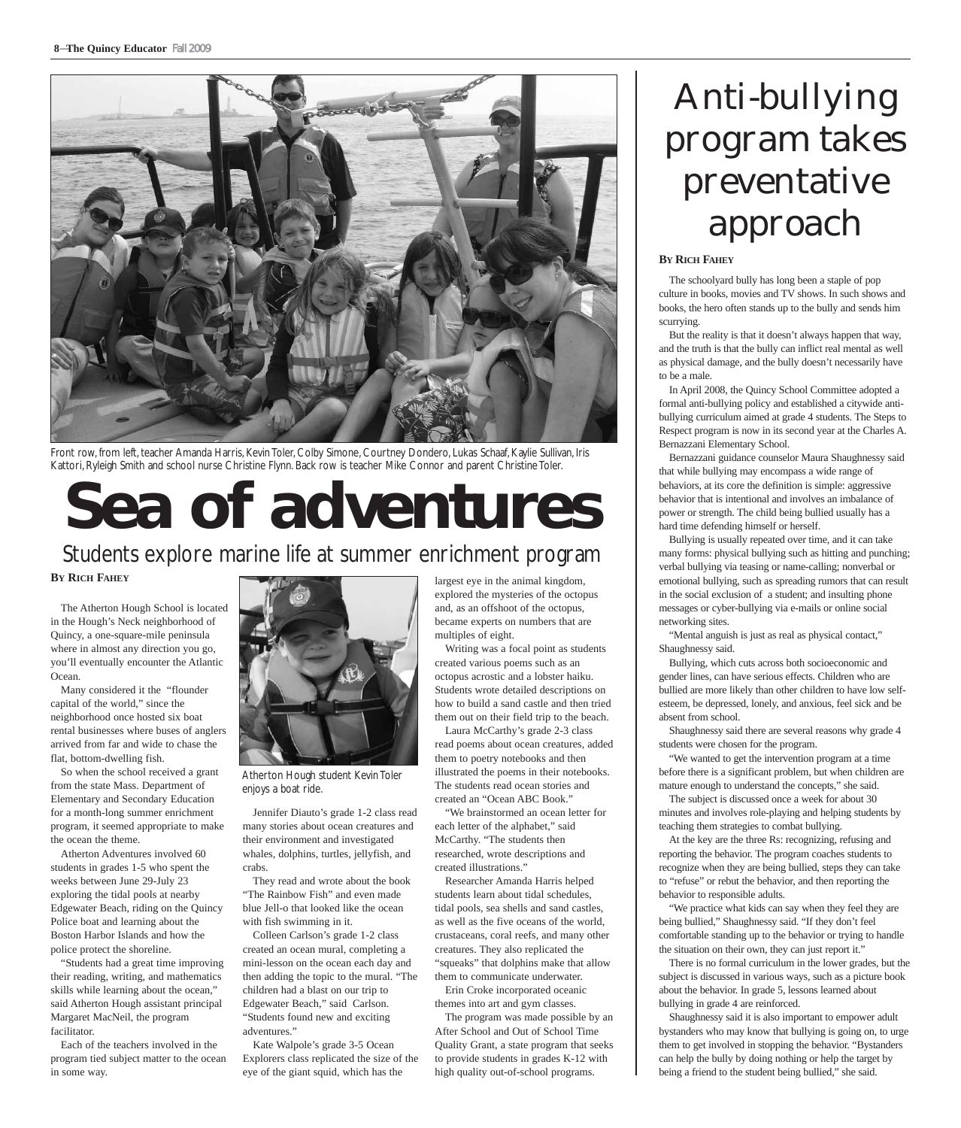

Front row, from left, teacher Amanda Harris, Kevin Toler, Colby Simone, Courtney Dondero, Lukas Schaaf, Kaylie Sullivan, Iris Kattori, Ryleigh Smith and school nurse Christine Flynn. Back row is teacher Mike Connor and parent Christine Toler.

# **Sea of adventures**

### Students explore marine life at summer enrichment program

**BY RICH FAHEY**

The Atherton Hough School is located in the Hough's Neck neighborhood of Quincy, a one-square-mile peninsula where in almost any direction you go, you'll eventually encounter the Atlantic Ocean.

Many considered it the "flounder capital of the world," since the neighborhood once hosted six boat rental businesses where buses of anglers arrived from far and wide to chase the flat, bottom-dwelling fish.

So when the school received a grant from the state Mass. Department of Elementary and Secondary Education for a month-long summer enrichment program, it seemed appropriate to make the ocean the theme.

Atherton Adventures involved 60 students in grades 1-5 who spent the weeks between June 29-July 23 exploring the tidal pools at nearby Edgewater Beach, riding on the Quincy Police boat and learning about the Boston Harbor Islands and how the police protect the shoreline.

"Students had a great time improving their reading, writing, and mathematics skills while learning about the ocean," said Atherton Hough assistant principal Margaret MacNeil, the program facilitator.

Each of the teachers involved in the program tied subject matter to the ocean in some way.



Atherton Hough student Kevin Toler enjoys a boat ride.

Jennifer Diauto's grade 1-2 class read many stories about ocean creatures and their environment and investigated whales, dolphins, turtles, jellyfish, and crabs.

They read and wrote about the book "The Rainbow Fish" and even made blue Jell-o that looked like the ocean with fish swimming in it.

Colleen Carlson's grade 1-2 class created an ocean mural, completing a mini-lesson on the ocean each day and then adding the topic to the mural. "The children had a blast on our trip to Edgewater Beach," said Carlson. "Students found new and exciting adventures.'

Kate Walpole's grade 3-5 Ocean Explorers class replicated the size of the eye of the giant squid, which has the

largest eye in the animal kingdom, explored the mysteries of the octopus and, as an offshoot of the octopus, became experts on numbers that are multiples of eight.

Writing was a focal point as students created various poems such as an octopus acrostic and a lobster haiku. Students wrote detailed descriptions on how to build a sand castle and then tried them out on their field trip to the beach. Laura McCarthy's grade 2-3 class

read poems about ocean creatures, added them to poetry notebooks and then illustrated the poems in their notebooks. The students read ocean stories and created an "Ocean ABC Book."

"We brainstormed an ocean letter for each letter of the alphabet," said McCarthy. "The students then researched, wrote descriptions and created illustrations."

Researcher Amanda Harris helped students learn about tidal schedules, tidal pools, sea shells and sand castles, as well as the five oceans of the world, crustaceans, coral reefs, and many other creatures. They also replicated the "squeaks" that dolphins make that allow them to communicate underwater.

Erin Croke incorporated oceanic themes into art and gym classes.

The program was made possible by an After School and Out of School Time Quality Grant, a state program that seeks to provide students in grades K-12 with high quality out-of-school programs.

# Anti-bullying program takes preventative approach

#### **BY RICH FAHEY**

The schoolyard bully has long been a staple of pop culture in books, movies and TV shows. In such shows and books, the hero often stands up to the bully and sends him scurrying.

But the reality is that it doesn't always happen that way, and the truth is that the bully can inflict real mental as well as physical damage, and the bully doesn't necessarily have to be a male.

In April 2008, the Quincy School Committee adopted a formal anti-bullying policy and established a citywide antibullying curriculum aimed at grade 4 students. The Steps to Respect program is now in its second year at the Charles A. Bernazzani Elementary School.

Bernazzani guidance counselor Maura Shaughnessy said that while bullying may encompass a wide range of behaviors, at its core the definition is simple: aggressive behavior that is intentional and involves an imbalance of power or strength. The child being bullied usually has a hard time defending himself or herself.

Bullying is usually repeated over time, and it can take many forms: physical bullying such as hitting and punching; verbal bullying via teasing or name-calling; nonverbal or emotional bullying, such as spreading rumors that can result in the social exclusion of a student; and insulting phone messages or cyber-bullying via e-mails or online social networking sites.

"Mental anguish is just as real as physical contact," Shaughnessy said.

Bullying, which cuts across both socioeconomic and gender lines, can have serious effects. Children who are bullied are more likely than other children to have low selfesteem, be depressed, lonely, and anxious, feel sick and be absent from school.

Shaughnessy said there are several reasons why grade 4 students were chosen for the program.

"We wanted to get the intervention program at a time before there is a significant problem, but when children are mature enough to understand the concepts," she said.

The subject is discussed once a week for about 30 minutes and involves role-playing and helping students by teaching them strategies to combat bullying.

At the key are the three Rs: recognizing, refusing and reporting the behavior. The program coaches students to recognize when they are being bullied, steps they can take to "refuse" or rebut the behavior, and then reporting the behavior to responsible adults.

"We practice what kids can say when they feel they are being bullied," Shaughnessy said. "If they don't feel comfortable standing up to the behavior or trying to handle the situation on their own, they can just report it."

There is no formal curriculum in the lower grades, but the subject is discussed in various ways, such as a picture book about the behavior. In grade 5, lessons learned about bullying in grade 4 are reinforced.

Shaughnessy said it is also important to empower adult bystanders who may know that bullying is going on, to urge them to get involved in stopping the behavior. "Bystanders can help the bully by doing nothing or help the target by being a friend to the student being bullied," she said.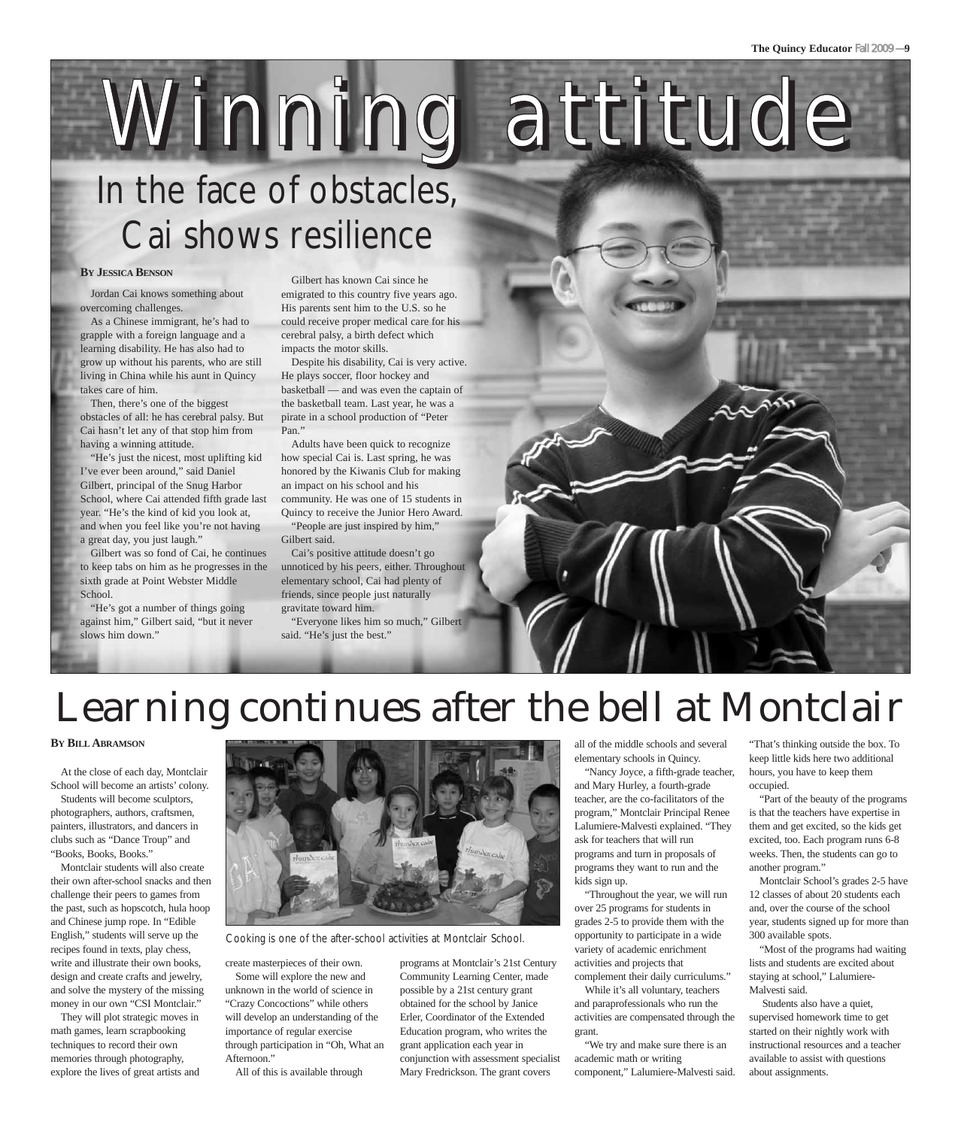# Winning attitude In the face of obstacles, Cai shows resilience

#### **BY JESSICA BENSON**

Jordan Cai knows something about overcoming challenges.

As a Chinese immigrant, he's had to grapple with a foreign language and a learning disability. He has also had to grow up without his parents, who are still living in China while his aunt in Quincy takes care of him.

Then, there's one of the biggest obstacles of all: he has cerebral palsy. But Cai hasn't let any of that stop him from having a winning attitude.

"He's just the nicest, most uplifting kid I've ever been around," said Daniel Gilbert, principal of the Snug Harbor School, where Cai attended fifth grade last year. "He's the kind of kid you look at, and when you feel like you're not having a great day, you just laugh."

Gilbert was so fond of Cai, he continues to keep tabs on him as he progresses in the sixth grade at Point Webster Middle School.

"He's got a number of things going against him," Gilbert said, "but it never slows him down."

Gilbert has known Cai since he emigrated to this country five years ago. His parents sent him to the U.S. so he could receive proper medical care for his cerebral palsy, a birth defect which impacts the motor skills.

Despite his disability, Cai is very active. He plays soccer, floor hockey and basketball — and was even the captain of the basketball team. Last year, he was a pirate in a school production of "Peter Pan.'

Adults have been quick to recognize how special Cai is. Last spring, he was honored by the Kiwanis Club for making an impact on his school and his community. He was one of 15 students in Quincy to receive the Junior Hero Award. "People are just inspired by him," Gilbert said.

Cai's positive attitude doesn't go unnoticed by his peers, either. Throughout elementary school, Cai had plenty of friends, since people just naturally gravitate toward him.

"Everyone likes him so much," Gilbert said. "He's just the best."



#### **BY BILL ABRAMSON**

At the close of each day, Montclair School will become an artists' colony. Students will become sculptors, photographers, authors, craftsmen,

painters, illustrators, and dancers in clubs such as "Dance Troup" and "Books, Books, Books."

Montclair students will also create their own after-school snacks and then challenge their peers to games from the past, such as hopscotch, hula hoop and Chinese jump rope. In "Edible English," students will serve up the recipes found in texts, play chess, write and illustrate their own books, design and create crafts and jewelry, and solve the mystery of the missing money in our own "CSI Montclair."

They will plot strategic moves in math games, learn scrapbooking techniques to record their own memories through photography, explore the lives of great artists and



Cooking is one of the after-school activities at Montclair School.

create masterpieces of their own. Some will explore the new and unknown in the world of science in "Crazy Concoctions" while others will develop an understanding of the importance of regular exercise through participation in "Oh, What an Afternoon."

All of this is available through

programs at Montclair's 21st Century Community Learning Center, made possible by a 21st century grant obtained for the school by Janice Erler, Coordinator of the Extended Education program, who writes the grant application each year in conjunction with assessment specialist Mary Fredrickson. The grant covers

all of the middle schools and several elementary schools in Quincy.

"Nancy Joyce, a fifth-grade teacher, and Mary Hurley, a fourth-grade teacher, are the co-facilitators of the program," Montclair Principal Renee Lalumiere-Malvesti explained. "They ask for teachers that will run programs and turn in proposals of programs they want to run and the kids sign up.

"Throughout the year, we will run over 25 programs for students in grades 2-5 to provide them with the opportunity to participate in a wide variety of academic enrichment activities and projects that complement their daily curriculums."

While it's all voluntary, teachers and paraprofessionals who run the activities are compensated through the grant.

"We try and make sure there is an academic math or writing component," Lalumiere-Malvesti said.

"That's thinking outside the box. To keep little kids here two additional hours, you have to keep them occupied.

"Part of the beauty of the programs is that the teachers have expertise in them and get excited, so the kids get excited, too. Each program runs 6-8 weeks. Then, the students can go to another program."

Montclair School's grades 2-5 have 12 classes of about 20 students each and, over the course of the school year, students signed up for more than 300 available spots.

"Most of the programs had waiting lists and students are excited about staying at school," Lalumiere-Malvesti said.

Students also have a quiet, supervised homework time to get started on their nightly work with instructional resources and a teacher available to assist with questions about assignments.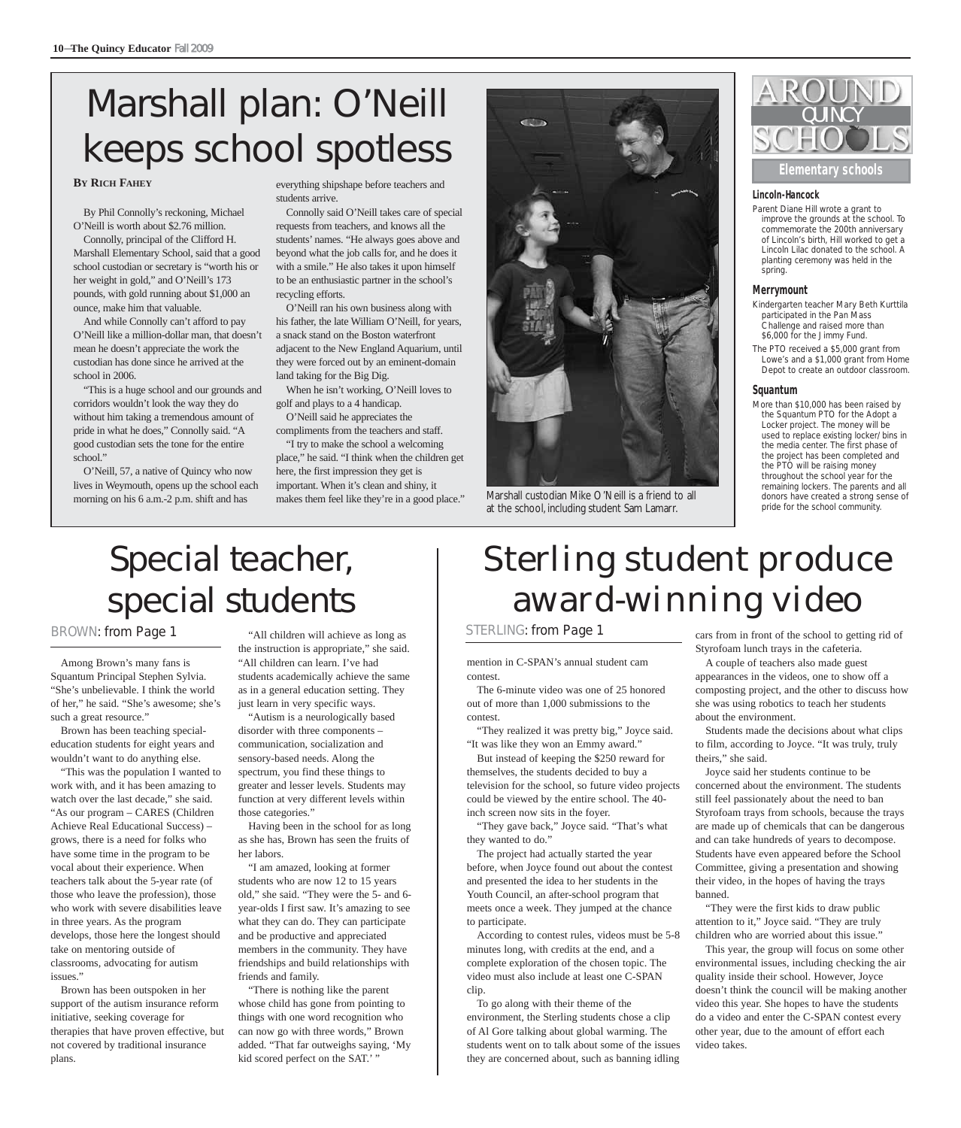# Marshall plan: O'Neill keeps school spotless

#### **BY RICH FAHEY**

By Phil Connolly's reckoning, Michael O'Neill is worth about \$2.76 million.

Connolly, principal of the Clifford H. Marshall Elementary School, said that a good school custodian or secretary is "worth his or her weight in gold," and O'Neill's 173 pounds, with gold running about \$1,000 an ounce, make him that valuable.

And while Connolly can't afford to pay O'Neill like a million-dollar man, that doesn't mean he doesn't appreciate the work the custodian has done since he arrived at the school in 2006.

"This is a huge school and our grounds and corridors wouldn't look the way they do without him taking a tremendous amount of pride in what he does," Connolly said. "A good custodian sets the tone for the entire school."

O'Neill, 57, a native of Quincy who now lives in Weymouth, opens up the school each morning on his 6 a.m.-2 p.m. shift and has

everything shipshape before teachers and students arrive.

Connolly said O'Neill takes care of special requests from teachers, and knows all the students' names. "He always goes above and beyond what the job calls for, and he does it with a smile." He also takes it upon himself to be an enthusiastic partner in the school's recycling efforts.

O'Neill ran his own business along with his father, the late William O'Neill, for years, a snack stand on the Boston waterfront adjacent to the New England Aquarium, until they were forced out by an eminent-domain land taking for the Big Dig.

When he isn't working, O'Neill loves to golf and plays to a 4 handicap.

O'Neill said he appreciates the compliments from the teachers and staff.

"I try to make the school a welcoming place," he said. "I think when the children get here, the first impression they get is important. When it's clean and shiny, it makes them feel like they're in a good place."



Marshall custodian Mike O'Neill is a friend to all at the school, including student Sam Lamarr.



**Elementary schools**

#### **Lincoln-Hancock**

Parent Diane Hill wrote a grant to improve the grounds at the school. To commemorate the 200th anniversary of Lincoln's birth, Hill worked to get a Lincoln Lilac donated to the school. A planting ceremony was held in the spring.

#### **Merrymount**

- Kindergarten teacher Mary Beth Kurttila participated in the Pan Mass Challenge and raised more than \$6,000 for the Jimmy Fund.
- The PTO received a \$5,000 grant from Lowe's and a \$1,000 grant from Home Depot to create an outdoor classroom.

#### **Squantum**

More than \$10,000 has been raised by the Squantum PTO for the Adopt a Locker project. The money will be used to replace existing locker/bins in the media center. The first phase of the project has been completed and the PTO will be raising money throughout the school year for the remaining lockers. The parents and all donors have created a strong sense of pride for the school community.

### Special teacher, special students

#### BROWN: from Page 1

Among Brown's many fans is Squantum Principal Stephen Sylvia. "She's unbelievable. I think the world of her," he said. "She's awesome; she's such a great resource."

Brown has been teaching specialeducation students for eight years and wouldn't want to do anything else.

"This was the population I wanted to work with, and it has been amazing to watch over the last decade," she said. "As our program – CARES (Children Achieve Real Educational Success) – grows, there is a need for folks who have some time in the program to be vocal about their experience. When teachers talk about the 5-year rate (of those who leave the profession), those who work with severe disabilities leave in three years. As the program develops, those here the longest should take on mentoring outside of classrooms, advocating for autism issues."

Brown has been outspoken in her support of the autism insurance reform initiative, seeking coverage for therapies that have proven effective, but not covered by traditional insurance plans.

"All children will achieve as long as the instruction is appropriate," she said. "All children can learn. I've had students academically achieve the same as in a general education setting. They just learn in very specific ways.

"Autism is a neurologically based disorder with three components – communication, socialization and sensory-based needs. Along the spectrum, you find these things to greater and lesser levels. Students may function at very different levels within those categories."

Having been in the school for as long as she has, Brown has seen the fruits of her labors.

"I am amazed, looking at former students who are now 12 to 15 years old," she said. "They were the 5- and 6 year-olds I first saw. It's amazing to see what they can do. They can participate and be productive and appreciated members in the community. They have friendships and build relationships with friends and family.

"There is nothing like the parent whose child has gone from pointing to things with one word recognition who can now go with three words," Brown added. "That far outweighs saying, 'My kid scored perfect on the SAT.''

# Sterling student produce award-winning video

#### STERLING: from Page 1

mention in C-SPAN's annual student cam contest.

The 6-minute video was one of 25 honored out of more than 1,000 submissions to the contest.

"They realized it was pretty big," Joyce said. "It was like they won an Emmy award."

But instead of keeping the \$250 reward for themselves, the students decided to buy a television for the school, so future video projects could be viewed by the entire school. The 40 inch screen now sits in the foyer.

"They gave back," Joyce said. "That's what they wanted to do."

The project had actually started the year before, when Joyce found out about the contest and presented the idea to her students in the Youth Council, an after-school program that meets once a week. They jumped at the chance to participate.

According to contest rules, videos must be 5-8 minutes long, with credits at the end, and a complete exploration of the chosen topic. The video must also include at least one C-SPAN clip.

To go along with their theme of the environment, the Sterling students chose a clip of Al Gore talking about global warming. The students went on to talk about some of the issues they are concerned about, such as banning idling cars from in front of the school to getting rid of Styrofoam lunch trays in the cafeteria.

A couple of teachers also made guest appearances in the videos, one to show off a composting project, and the other to discuss how she was using robotics to teach her students about the environment.

Students made the decisions about what clips to film, according to Joyce. "It was truly, truly theirs," she said.

Joyce said her students continue to be concerned about the environment. The students still feel passionately about the need to ban Styrofoam trays from schools, because the trays are made up of chemicals that can be dangerous and can take hundreds of years to decompose. Students have even appeared before the School Committee, giving a presentation and showing their video, in the hopes of having the trays banned.

"They were the first kids to draw public attention to it," Joyce said. "They are truly children who are worried about this issue."

This year, the group will focus on some other environmental issues, including checking the air quality inside their school. However, Joyce doesn't think the council will be making another video this year. She hopes to have the students do a video and enter the C-SPAN contest every other year, due to the amount of effort each video takes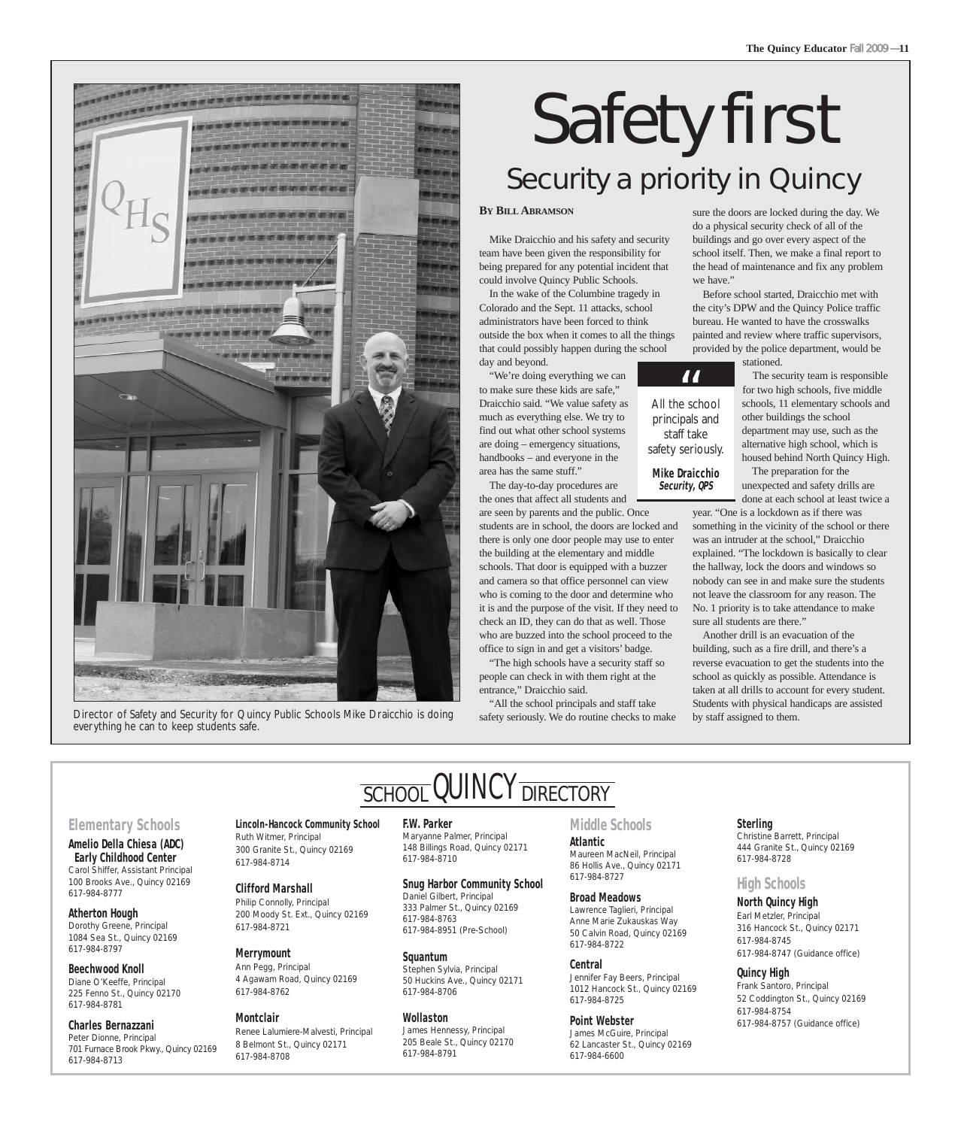

Director of Safety and Security for Quincy Public Schools Mike Draicchio is doing everything he can to keep students safe.

# Safety first Security a priority in Quincy

#### **BY BILL ABRAMSON**

Mike Draicchio and his safety and security team have been given the responsibility for being prepared for any potential incident that could involve Quincy Public Schools.

In the wake of the Columbine tragedy in Colorado and the Sept. 11 attacks, school administrators have been forced to think outside the box when it comes to all the things that could possibly happen during the school

day and beyond. "We're doing everything we can to make sure these kids are safe," Draicchio said. "We value safety as much as everything else. We try to find out what other school systems are doing – emergency situations, handbooks – and everyone in the area has the same stuff."

The day-to-day procedures are the ones that affect all students and

are seen by parents and the public. Once students are in school, the doors are locked and there is only one door people may use to enter the building at the elementary and middle schools. That door is equipped with a buzzer and camera so that office personnel can view who is coming to the door and determine who it is and the purpose of the visit. If they need to check an ID, they can do that as well. Those who are buzzed into the school proceed to the office to sign in and get a visitors' badge.

"The high schools have a security staff so people can check in with them right at the entrance," Draicchio said.

"All the school principals and staff take safety seriously. We do routine checks to make sure the doors are locked during the day. We do a physical security check of all of the buildings and go over every aspect of the school itself. Then, we make a final report to the head of maintenance and fix any problem we have."

**The Quincy Educator** Fall 2009 — **11**

Before school started, Draicchio met with the city's DPW and the Quincy Police traffic bureau. He wanted to have the crosswalks painted and review where traffic supervisors, provided by the police department, would be stationed.

> The security team is responsible for two high schools, five middle schools, 11 elementary schools and other buildings the school department may use, such as the alternative high school, which is housed behind North Quincy High.

The preparation for the unexpected and safety drills are

done at each school at least twice a year. "One is a lockdown as if there was something in the vicinity of the school or there was an intruder at the school," Draicchio explained. "The lockdown is basically to clear the hallway, lock the doors and windows so nobody can see in and make sure the students not leave the classroom for any reason. The No. 1 priority is to take attendance to make sure all students are there."

Another drill is an evacuation of the building, such as a fire drill, and there's a reverse evacuation to get the students into the school as quickly as possible. Attendance is taken at all drills to account for every student. Students with physical handicaps are assisted by staff assigned to them.

#### staff take safety seriously. **Mike Draicchio Security, QPS**

**All the school** 

principals and

**Lincoln-Hancock Community School F.W. Parker**  SCHOOL QUINCY DIRECTORY

Maryanne Palmer, Principal 148 Billings Road, Quincy 02171 617-984-8710

**Snug Harbor Community School** Daniel Gilbert, Principal 333 Palmer St., Quincy 02169 617-984-8763 617-984-8951 (Pre-School)

**Squantum**  Stephen Sylvia, Principal 50 Huckins Ave., Quincy 02171 617-984-8706

**Wollaston**  James Hennessy, Principal 205 Beale St., Quincy 02170 617-984-8791

#### **Middle Schools**

**Atlantic**  Maureen MacNeil, Principal 86 Hollis Ave., Quincy 02171 617-984-8727

**Broad Meadows**  Lawrence Taglieri, Principal Anne Marie Zukauskas Way 50 Calvin Road, Quincy 02169 617-984-8722

**Central** 

Jennifer Fay Beers, Principal 1012 Hancock St., Quincy 02169 617-984-8725

**Point Webster** 

James McGuire, Principal 62 Lancaster St., Quincy 02169 617-984-6600

#### **Sterling**

Christine Barrett, Principal 444 Granite St., Quincy 02169 617-984-8728

#### **High Schools**

**North Quincy High** Earl Metzler, Principal 316 Hancock St., Quincy 02171 617-984-8745 617-984-8747 (Guidance office)

**Quincy High**  Frank Santoro, Principal 52 Coddington St., Quincy 02169 617-984-8754 617-984-8757 (Guidance office)

#### **Elementary Schools**

**Amelio Della Chiesa (ADC) Early Childhood Center** Carol Shiffer, Assistant Principal 100 Brooks Ave., Quincy 02169 617-984-8777

**Atherton Hough**  Dorothy Greene, Principal 1084 Sea St., Quincy 02169 617-984-8797

#### **Beechwood Knoll**  Diane O'Keeffe, Principal 225 Fenno St., Quincy 02170 617-984-8781

**Charles Bernazzani**  Peter Dionne, Principal 701 Furnace Brook Pkwy., Quincy 02169 617-984-8713

Ruth Witmer, Principal 300 Granite St., Quincy 02169 617-984-8714

> **Clifford Marshall**  Philip Connolly, Principal 200 Moody St. Ext., Quincy 02169 617-984-8721

#### **Merrymount**

617-984-8708

Ann Pegg, Principal 4 Agawam Road, Quincy 02169

8 Belmont St., Quincy 02171

617-984-8762 **Montclair**  Renee Lalumiere-Malvesti, Principal